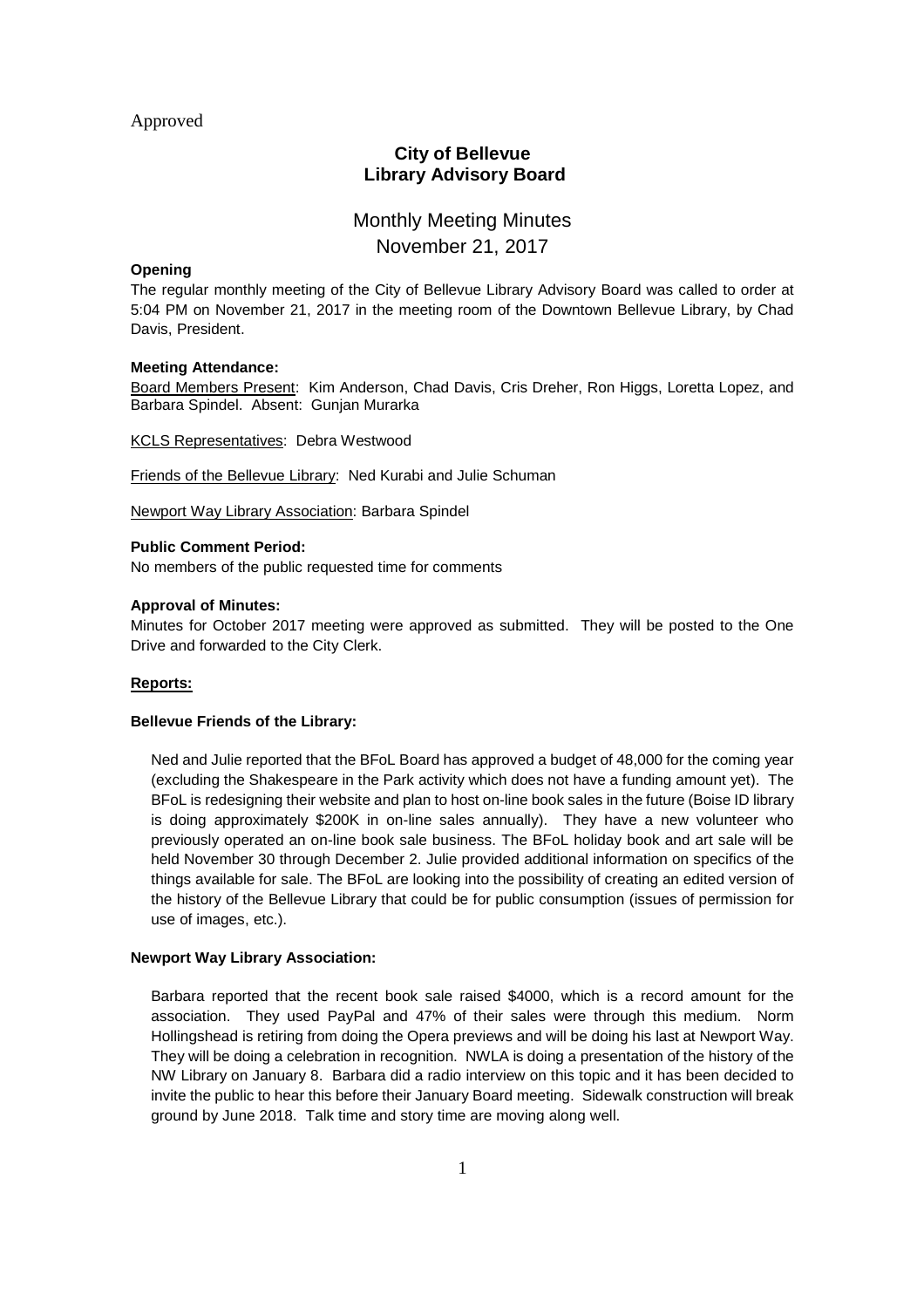## Approved

# **City of Bellevue Library Advisory Board**

# Monthly Meeting Minutes November 21, 2017

#### **Opening**

The regular monthly meeting of the City of Bellevue Library Advisory Board was called to order at 5:04 PM on November 21, 2017 in the meeting room of the Downtown Bellevue Library, by Chad Davis, President.

#### **Meeting Attendance:**

Board Members Present: Kim Anderson, Chad Davis, Cris Dreher, Ron Higgs, Loretta Lopez, and Barbara Spindel. Absent: Gunjan Murarka

KCLS Representatives: Debra Westwood

Friends of the Bellevue Library: Ned Kurabi and Julie Schuman

Newport Way Library Association: Barbara Spindel

#### **Public Comment Period:**

No members of the public requested time for comments

#### **Approval of Minutes:**

Minutes for October 2017 meeting were approved as submitted. They will be posted to the One Drive and forwarded to the City Clerk.

#### **Reports:**

#### **Bellevue Friends of the Library:**

Ned and Julie reported that the BFoL Board has approved a budget of 48,000 for the coming year (excluding the Shakespeare in the Park activity which does not have a funding amount yet). The BFoL is redesigning their website and plan to host on-line book sales in the future (Boise ID library is doing approximately \$200K in on-line sales annually). They have a new volunteer who previously operated an on-line book sale business. The BFoL holiday book and art sale will be held November 30 through December 2. Julie provided additional information on specifics of the things available for sale. The BFoL are looking into the possibility of creating an edited version of the history of the Bellevue Library that could be for public consumption (issues of permission for use of images, etc.).

#### **Newport Way Library Association:**

Barbara reported that the recent book sale raised \$4000, which is a record amount for the association. They used PayPal and 47% of their sales were through this medium. Norm Hollingshead is retiring from doing the Opera previews and will be doing his last at Newport Way. They will be doing a celebration in recognition. NWLA is doing a presentation of the history of the NW Library on January 8. Barbara did a radio interview on this topic and it has been decided to invite the public to hear this before their January Board meeting. Sidewalk construction will break ground by June 2018. Talk time and story time are moving along well.